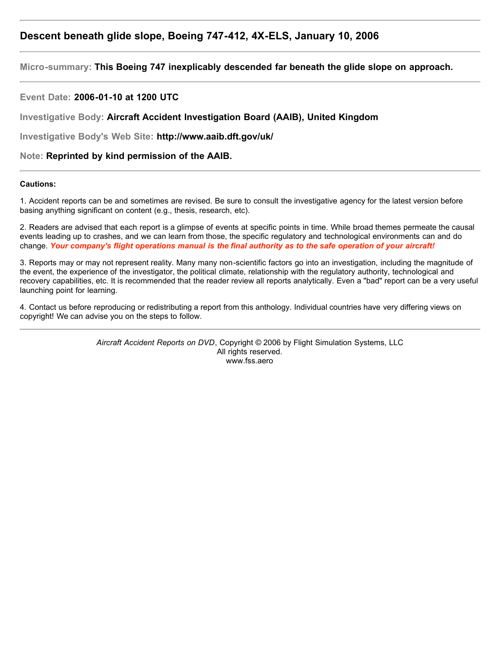# **Descent beneath glide slope, Boeing 747-412, 4X-ELS, January 10, 2006**

**Micro-summary: This Boeing 747 inexplicably descended far beneath the glide slope on approach.**

**Event Date: 2006-01-10 at 1200 UTC**

**Investigative Body: Aircraft Accident Investigation Board (AAIB), United Kingdom**

**Investigative Body's Web Site: http://www.aaib.dft.gov/uk/**

**Note: Reprinted by kind permission of the AAIB.**

#### **Cautions:**

1. Accident reports can be and sometimes are revised. Be sure to consult the investigative agency for the latest version before basing anything significant on content (e.g., thesis, research, etc).

2. Readers are advised that each report is a glimpse of events at specific points in time. While broad themes permeate the causal events leading up to crashes, and we can learn from those, the specific regulatory and technological environments can and do change. *Your company's flight operations manual is the final authority as to the safe operation of your aircraft!*

3. Reports may or may not represent reality. Many many non-scientific factors go into an investigation, including the magnitude of the event, the experience of the investigator, the political climate, relationship with the regulatory authority, technological and recovery capabilities, etc. It is recommended that the reader review all reports analytically. Even a "bad" report can be a very useful launching point for learning.

4. Contact us before reproducing or redistributing a report from this anthology. Individual countries have very differing views on copyright! We can advise you on the steps to follow.

> *Aircraft Accident Reports on DVD*, Copyright © 2006 by Flight Simulation Systems, LLC All rights reserved. www.fss.aero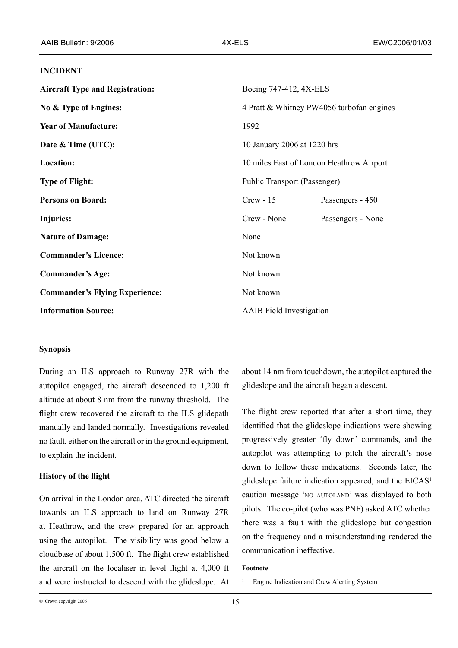# **INCIDENT**

| <b>Aircraft Type and Registration:</b> | Boeing 747-412, 4X-ELS                    |                   |
|----------------------------------------|-------------------------------------------|-------------------|
| No & Type of Engines:                  | 4 Pratt & Whitney PW4056 turbofan engines |                   |
| <b>Year of Manufacture:</b>            | 1992                                      |                   |
| Date & Time (UTC):                     | 10 January 2006 at 1220 hrs               |                   |
| <b>Location:</b>                       | 10 miles East of London Heathrow Airport  |                   |
| <b>Type of Flight:</b>                 | Public Transport (Passenger)              |                   |
| <b>Persons on Board:</b>               | $Crew - 15$                               | Passengers - 450  |
| Injuries:                              | Crew - None                               | Passengers - None |
| <b>Nature of Damage:</b>               | None                                      |                   |
| <b>Commander's Licence:</b>            | Not known                                 |                   |
| <b>Commander's Age:</b>                | Not known                                 |                   |
| <b>Commander's Flying Experience:</b>  | Not known                                 |                   |
| <b>Information Source:</b>             | <b>AAIB</b> Field Investigation           |                   |

# **Synopsis**

During an ILS approach to Runway 27R with the autopilot engaged, the aircraft descended to 1,200 ft altitude at about 8 nm from the runway threshold. The flight crew recovered the aircraft to the ILS glidepath manually and landed normally. Investigations revealed no fault, either on the aircraft or in the ground equipment, to explain the incident.

# **History of the flight**

On arrival in the London area, ATC directed the aircraft towards an ILS approach to land on Runway 27R at Heathrow, and the crew prepared for an approach using the autopilot. The visibility was good below a cloudbase of about 1,500 ft. The flight crew established the aircraft on the localiser in level flight at 4,000 ft and were instructed to descend with the glideslope. At about 14 nm from touchdown, the autopilot captured the glideslope and the aircraft began a descent.

The flight crew reported that after a short time, they identified that the glideslope indications were showing progressively greater 'fly down' commands, and the autopilot was attempting to pitch the aircraft's nose down to follow these indications. Seconds later, the glideslope failure indication appeared, and the EICAS caution message 'NO AUTOLAND' was displayed to both pilots. The co-pilot (who was PNF) asked ATC whether there was a fault with the glideslope but congestion on the frequency and a misunderstanding rendered the communication ineffective.

### **Footnote**

1 Engine Indication and Crew Alerting System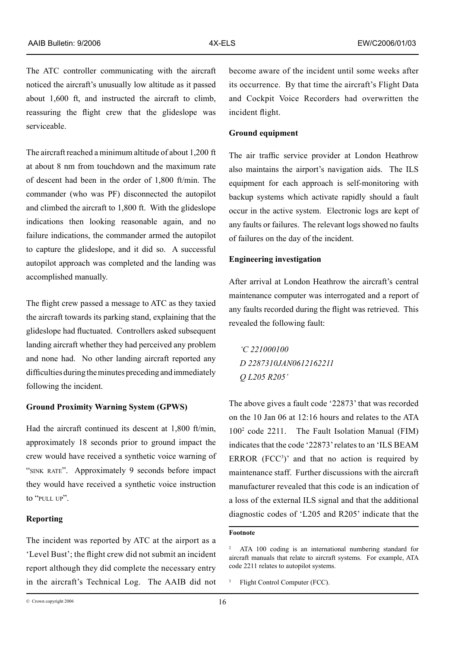The ATC controller communicating with the aircraft noticed the aircraft's unusually low altitude as it passed about 1,600 ft, and instructed the aircraft to climb, reassuring the flight crew that the glideslope was serviceable.

The aircraft reached a minimum altitude of about 1,200 ft at about 8 nm from touchdown and the maximum rate of descent had been in the order of 1,800 ft/min. The commander (who was PF) disconnected the autopilot and climbed the aircraft to 1,800 ft. With the glideslope indications then looking reasonable again, and no failure indications, the commander armed the autopilot to capture the glideslope, and it did so. A successful autopilot approach was completed and the landing was accomplished manually.

The flight crew passed a message to ATC as they taxied the aircraft towards its parking stand, explaining that the glideslope had fluctuated. Controllers asked subsequent landing aircraft whether they had perceived any problem and none had. No other landing aircraft reported any difficulties during the minutes preceding and immediately following the incident.

#### **Ground Proximity Warning System (GPWS)**

Had the aircraft continued its descent at 1,800 ft/min, approximately 18 seconds prior to ground impact the crew would have received a synthetic voice warning of "sink rate". Approximately 9 seconds before impact they would have received a synthetic voice instruction to "pull up".

# **Reporting**

The incident was reported by ATC at the airport as a 'Level Bust'; the flight crew did not submit an incident report although they did complete the necessary entry in the aircraft's Technical Log. The AAIB did not become aware of the incident until some weeks after its occurrence. By that time the aircraft's Flight Data and Cockpit Voice Recorders had overwritten the incident flight.

### **Ground equipment**

The air traffic service provider at London Heathrow also maintains the airport's navigation aids. The ILS equipment for each approach is self-monitoring with backup systems which activate rapidly should a fault occur in the active system. Electronic logs are kept of any faults or failures. The relevant logs showed no faults of failures on the day of the incident.

## **Engineering investigation**

After arrival at London Heathrow the aircraft's central maintenance computer was interrogated and a report of any faults recorded during the flight was retrieved. This revealed the following fault:

*'C 221000100 D 2287310JAN0612162211 Q L205 R205'*

The above gives a fault code '22873' that was recorded on the 10 Jan 06 at 12:16 hours and relates to the ATA 1002 code 2211. The Fault Isolation Manual (FIM) indicates that the code '22873' relates to an 'ILS BEAM ERROR  $(FCC<sup>3</sup>)$ ' and that no action is required by maintenance staff. Further discussions with the aircraft manufacturer revealed that this code is an indication of a loss of the external ILS signal and that the additional diagnostic codes of 'L205 and R205' indicate that the

# **Footnote**

<sup>2</sup> ATA 100 coding is an international numbering standard for aircraft manuals that relate to aircraft systems. For example, ATA code 2211 relates to autopilot systems.

<sup>&</sup>lt;sup>3</sup> Flight Control Computer (FCC).